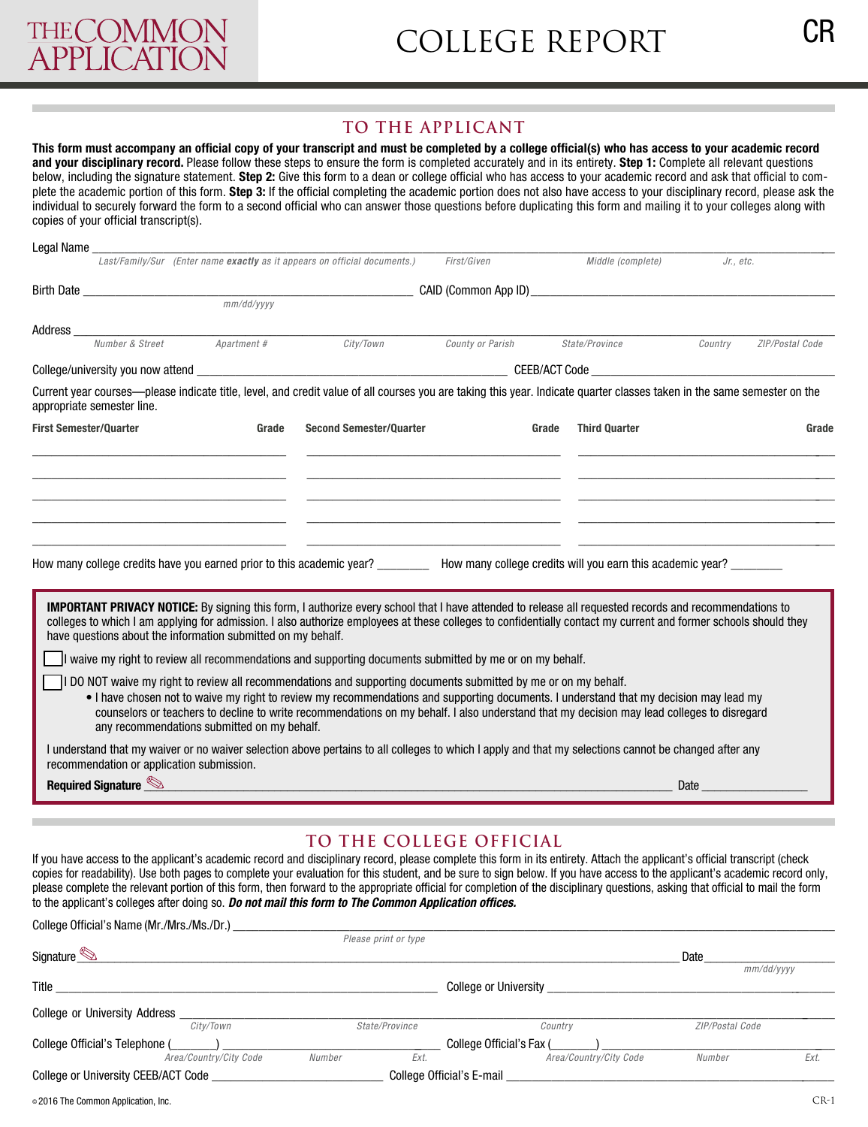## **To The applicanT**

**This form must accompany an official copy of your transcript and must be completed by a college official(s) who has access to your academic record and your disciplinary record.** Please follow these steps to ensure the form is completed accurately and in its entirety. **Step 1:** Complete all relevant questions below, including the signature statement. **Step 2:** Give this form to a dean or college official who has access to your academic record and ask that official to complete the academic portion of this form. **Step 3:** If the official completing the academic portion does not also have access to your disciplinary record, please ask the individual to securely forward the form to a second official who can answer those questions before duplicating this form and mailing it to your colleges along with copies of your official transcript(s).

| Legal Name _                                                                                                                                                                                                                                                                                                                                                                                    |                                                                           |                                                                                                                                                                                                                                                                                                                                                                                                         |                  |                               |                            |  |  |
|-------------------------------------------------------------------------------------------------------------------------------------------------------------------------------------------------------------------------------------------------------------------------------------------------------------------------------------------------------------------------------------------------|---------------------------------------------------------------------------|---------------------------------------------------------------------------------------------------------------------------------------------------------------------------------------------------------------------------------------------------------------------------------------------------------------------------------------------------------------------------------------------------------|------------------|-------------------------------|----------------------------|--|--|
|                                                                                                                                                                                                                                                                                                                                                                                                 | Last/Family/Sur (Enter name exactly as it appears on official documents.) |                                                                                                                                                                                                                                                                                                                                                                                                         | First/Given      | Middle (complete)             | Jr., etc.                  |  |  |
| Birth Date and the state of the state of the state of the state of the state of the state of the state of the                                                                                                                                                                                                                                                                                   |                                                                           |                                                                                                                                                                                                                                                                                                                                                                                                         |                  |                               |                            |  |  |
|                                                                                                                                                                                                                                                                                                                                                                                                 | mm/dd/yyyy                                                                |                                                                                                                                                                                                                                                                                                                                                                                                         |                  |                               |                            |  |  |
| Address_                                                                                                                                                                                                                                                                                                                                                                                        |                                                                           |                                                                                                                                                                                                                                                                                                                                                                                                         |                  |                               |                            |  |  |
| Number & Street                                                                                                                                                                                                                                                                                                                                                                                 | Apartment #                                                               | City/Town                                                                                                                                                                                                                                                                                                                                                                                               | County or Parish | State/Province                | Country<br>ZIP/Postal Code |  |  |
|                                                                                                                                                                                                                                                                                                                                                                                                 |                                                                           |                                                                                                                                                                                                                                                                                                                                                                                                         |                  |                               |                            |  |  |
| Current year courses—please indicate title, level, and credit value of all courses you are taking this year. Indicate quarter classes taken in the same semester on the<br>appropriate semester line.                                                                                                                                                                                           |                                                                           |                                                                                                                                                                                                                                                                                                                                                                                                         |                  |                               |                            |  |  |
| <b>First Semester/Quarter</b>                                                                                                                                                                                                                                                                                                                                                                   | Grade                                                                     | <b>Second Semester/Quarter</b>                                                                                                                                                                                                                                                                                                                                                                          |                  | <b>Third Quarter</b><br>Grade | Grade                      |  |  |
| How many college credits have you earned prior to this academic year? ________ How many college credits will you earn this academic year? ________                                                                                                                                                                                                                                              |                                                                           |                                                                                                                                                                                                                                                                                                                                                                                                         |                  |                               |                            |  |  |
| <b>IMPORTANT PRIVACY NOTICE:</b> By signing this form, I authorize every school that I have attended to release all requested records and recommendations to<br>colleges to which I am applying for admission. I also authorize employees at these colleges to confidentially contact my current and former schools should they<br>have questions about the information submitted on my behalf. |                                                                           | If waive my right to review all recommendations and supporting documents submitted by me or on my behalf.                                                                                                                                                                                                                                                                                               |                  |                               |                            |  |  |
|                                                                                                                                                                                                                                                                                                                                                                                                 | any recommendations submitted on my behalf.                               | I DO NOT waive my right to review all recommendations and supporting documents submitted by me or on my behalf.<br>• I have chosen not to waive my right to review my recommendations and supporting documents. I understand that my decision may lead my<br>counselors or teachers to decline to write recommendations on my behalf. I also understand that my decision may lead colleges to disregard |                  |                               |                            |  |  |
| I understand that my waiver or no waiver selection above pertains to all colleges to which I apply and that my selections cannot be changed after any<br>recommendation or application submission.                                                                                                                                                                                              |                                                                           |                                                                                                                                                                                                                                                                                                                                                                                                         |                  |                               |                            |  |  |
| Required Signature                                                                                                                                                                                                                                                                                                                                                                              |                                                                           |                                                                                                                                                                                                                                                                                                                                                                                                         |                  |                               | Date                       |  |  |

## **To The colleGe oFFicial**

If you have access to the applicant's academic record and disciplinary record, please complete this form in its entirety. Attach the applicant's official transcript (check copies for readability). Use both pages to complete your evaluation for this student, and be sure to sign below. If you have access to the applicant's academic record only, please complete the relevant portion of this form, then forward to the appropriate official for completion of the disciplinary questions, asking that official to mail the form to the applicant's colleges after doing so. *Do not mail this form to The Common Application offices.* 

| College Official's Name (Mr./Mrs./Ms./Dr.) |                           |                              |                 |      |
|--------------------------------------------|---------------------------|------------------------------|-----------------|------|
|                                            | Please print or type      |                              |                 |      |
| Signature                                  |                           |                              | Date            |      |
|                                            |                           |                              | mm/dd/yyyy      |      |
| Title                                      |                           | <b>College or University</b> |                 |      |
| College or University Address              |                           |                              |                 |      |
| City/Town                                  | State/Province            | Country                      | ZIP/Postal Code |      |
| College Official's Telephone (             |                           | College Official's Fax (     |                 |      |
| Area/Country/City Code                     | Ext.<br>Number            | Area/Country/City Code       | Number          | Ext. |
| College or University CEEB/ACT Code        | College Official's E-mail |                              |                 |      |
|                                            |                           |                              |                 |      |